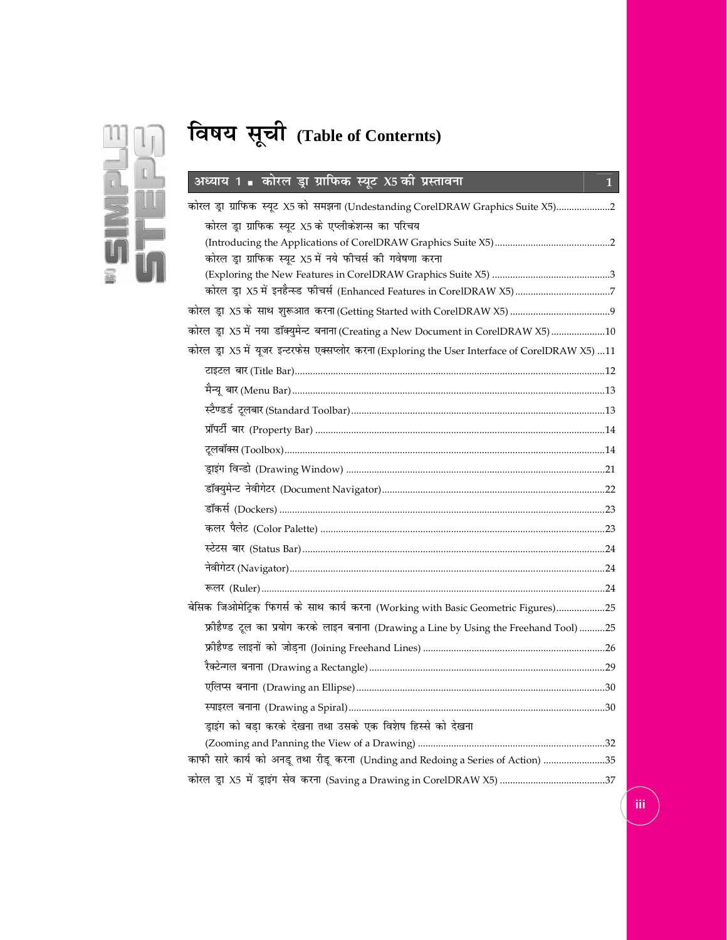

# **fo"k; l wph(Table of Conternts)**

# **v è; k; 1 dksjy Mªk xzkfi Qd L; wV X5 dhi zLrkouk 1**

| कोरल ड्रा ग्राफिक स्यूट X5 को समझना (Undestanding CorelDRAW Graphics Suite X5)2                 |
|-------------------------------------------------------------------------------------------------|
| कोरल ड़ा ग्राफिक स्यूट X5 के एप्लीकेशन्स का परिचय                                               |
|                                                                                                 |
| कोरल ड्रा ग्राफिक स्यूट X5 में नये फीचर्स की गवेषणा करना                                        |
|                                                                                                 |
|                                                                                                 |
|                                                                                                 |
| कोरल ड्रा X5 में नया डॉक्युमेन्ट बनाना (Creating a New Document in CorelDRAW X5)10              |
| कोरल ड्रा X5 में यूजर इन्टरफेस एक्सप्लोर करना (Exploring the User Interface of CorelDRAW X5) 11 |
|                                                                                                 |
|                                                                                                 |
|                                                                                                 |
|                                                                                                 |
|                                                                                                 |
|                                                                                                 |
|                                                                                                 |
|                                                                                                 |
|                                                                                                 |
|                                                                                                 |
|                                                                                                 |
|                                                                                                 |
| बेसिक  जिओमेट्रिक  फिगर्स  के  साथ  कार्य  करना  (Working with Basic Geometric Figures)25       |
| फ्रीहैण्ड टूल का प्रयोग करके लाइन बनाना (Drawing a Line by Using the Freehand Tool) 25          |
|                                                                                                 |
|                                                                                                 |
|                                                                                                 |
|                                                                                                 |
| ड़ाइंग को बड़ा करके देखना तथा उसके एक विशेष हिस्से को देखना                                     |
|                                                                                                 |
| काफी सारे कार्य को अनडू तथा रीडू करना (Unding and Redoing a Series of Action) 35                |
|                                                                                                 |
|                                                                                                 |

**iii**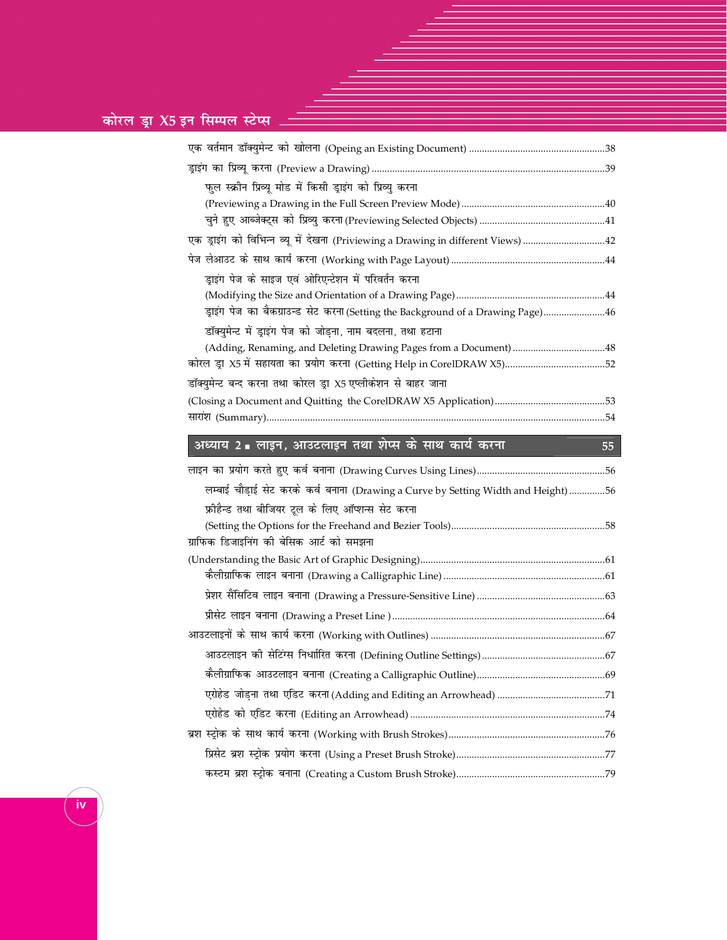# कोरल ड्रा $X$ 5 इन सिम्पल स्टेप्स

| फुल स्क्रीन प्रिव्यू मोड में किसी ड्राइंग को प्रिव्यु करना                        |  |
|-----------------------------------------------------------------------------------|--|
|                                                                                   |  |
|                                                                                   |  |
| एक ड्राइंग को विभिन्न व्यू में देखना (Priviewing a Drawing in different Views) 42 |  |
|                                                                                   |  |
| ड़ाइंग पेज के साइज एवं ओरिएन्टेशन में परिवर्तन करना                               |  |
|                                                                                   |  |
| ड़ाइंग पेज का बैकग्राउन्ड सेट करना (Setting the Background of a Drawing Page) 46  |  |
| डॉक्युमेन्ट में ड्राइंग पेज को जोड़ना, नाम बदलना, तथा हटाना                       |  |
| (Adding, Renaming, and Deleting Drawing Pages from a Document) 48                 |  |
|                                                                                   |  |
| डॉक्युमेन्ट बन्द करना तथा कोरल ड्रा X5 एप्लीकेशन से बाहर जाना                     |  |
|                                                                                   |  |
|                                                                                   |  |

 $\overline{55}$ 

# अध्याय 2 ■ लाइन, आउटलाइन तथा शेप्स के साथ कार्य करना

| लम्बाई चौड़ाई सेट करके कर्व बनाना (Drawing a Curve by Setting Width and Height) 56 |  |
|------------------------------------------------------------------------------------|--|
| फ्रीहैन्ड तथा बीजियर टूल के लिए ऑप्शन्स सेट करना                                   |  |
|                                                                                    |  |
| ग्राफिक डिजाइनिंग की बेसिक आर्ट को समझना                                           |  |
|                                                                                    |  |
|                                                                                    |  |
|                                                                                    |  |
|                                                                                    |  |
|                                                                                    |  |
|                                                                                    |  |
|                                                                                    |  |
|                                                                                    |  |
|                                                                                    |  |
|                                                                                    |  |
|                                                                                    |  |
|                                                                                    |  |

 $\overline{\mathsf{i}\mathsf{v}}$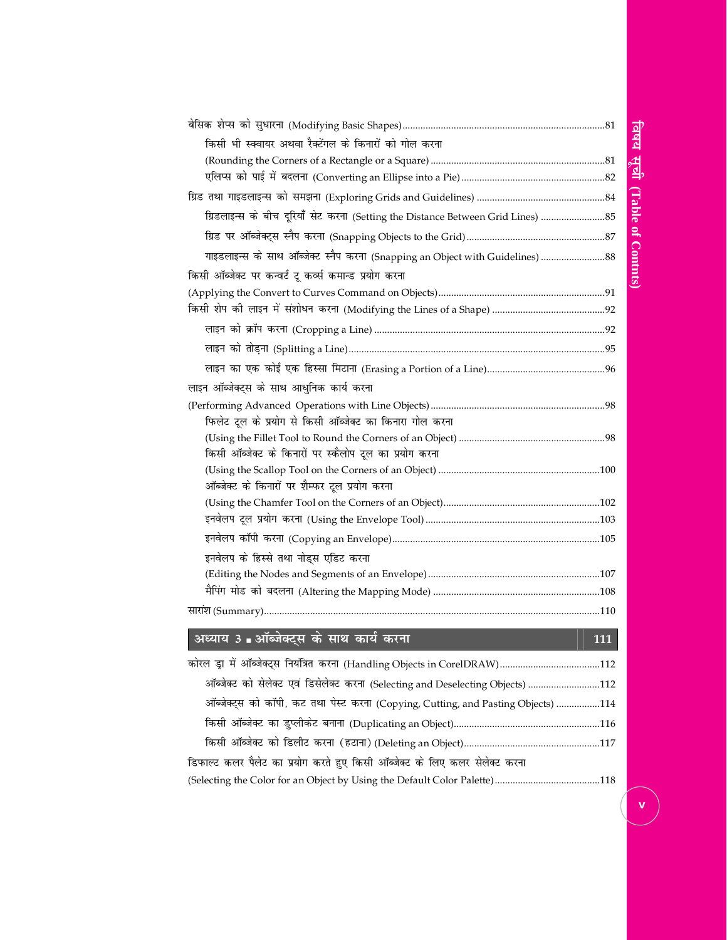# विषय सूची (Table of Contnts)

| किसी भी स्क्वायर अथवा रैक्टेंगल के किनारों को गोल करना                        |     |
|-------------------------------------------------------------------------------|-----|
|                                                                               |     |
|                                                                               |     |
|                                                                               |     |
| ग्रिडलाइन्स के बीच दूरियाँ सेट करना (Setting the Distance Between Grid Lines) |     |
|                                                                               |     |
| गाइडलाइन्स के साथ ऑब्जेक्ट स्नैप करना (Snapping an Object with Guidelines)    |     |
| किसी ऑब्जेक्ट पर कन्वर्ट टू कर्व्स कमान्ड प्रयोग करना                         |     |
|                                                                               |     |
|                                                                               |     |
|                                                                               |     |
|                                                                               |     |
|                                                                               |     |
| लाइन ऑब्जेक्ट्स के साथ आधुनिक कार्य करना                                      |     |
|                                                                               |     |
| फिलेट टूल के प्रयोग से किसी ऑब्जेक्ट का किनारा गोल करना                       |     |
|                                                                               |     |
| किसी ऑब्जेक्ट के किनारों पर स्कैलोप टूल का प्रयोग करना                        |     |
|                                                                               |     |
| ऑब्जेक्ट के किनारों पर शैम्फर टूल प्रयोग करना                                 |     |
|                                                                               |     |
|                                                                               |     |
|                                                                               |     |
| इनवेलप के हिस्से तथा नोड्स एडिट करना                                          |     |
|                                                                               |     |
|                                                                               |     |
|                                                                               |     |
|                                                                               |     |
| अध्याय 3 . ऑब्जेक्ट्स के <u>साथ कार्य करना</u>                                | 111 |
|                                                                               |     |

| ऑब्जेक्ट को सेलेक्ट एवं डिसेलेक्ट करना (Selecting and Deselecting Objects) 112    |  |
|-----------------------------------------------------------------------------------|--|
| ऑब्जेक्ट्स को कॉपी, कट तथा पेस्ट करना (Copying, Cutting, and Pasting Objects) 114 |  |
|                                                                                   |  |
|                                                                                   |  |
| डिफाल्ट कलर पैलेट का प्रयोग करते हुए किसी ऑब्जेक्ट के लिए कलर सेलेक्ट करना        |  |
|                                                                                   |  |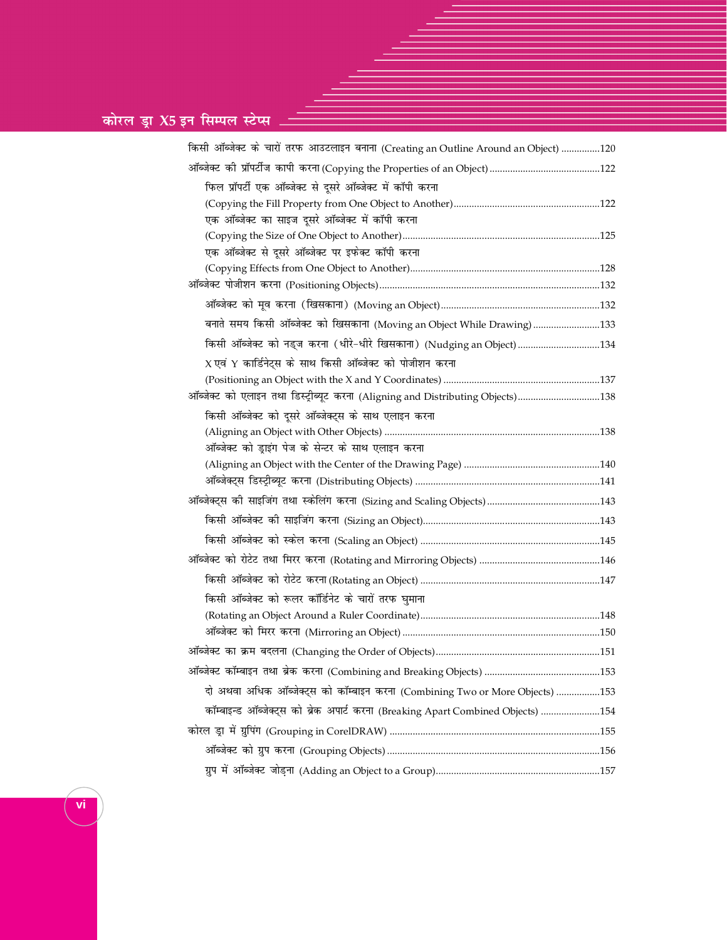# <u>कोरल ड्रा X5 इन सिम्पल स्टेप्स</u>

| किसी ऑब्जेक्ट के चारों तरफ आउटलाइन बनाना (Creating an Outline Around an Object) 120 |  |
|-------------------------------------------------------------------------------------|--|
|                                                                                     |  |
| फिल प्रॉपर्टी एक ऑब्जेक्ट से दूसरे ऑब्जेक्ट में कॉपी करना                           |  |
|                                                                                     |  |
| एक ऑब्जेक्ट का साइज दूसरे ऑब्जेक्ट में कॉपी करना                                    |  |
|                                                                                     |  |
| एक ऑब्जेक्ट से दूसरे ऑब्जेक्ट पर इफेक्ट कॉपी करना                                   |  |
|                                                                                     |  |
|                                                                                     |  |
|                                                                                     |  |
| बनाते समय किसी ऑब्जेक्ट को खिसकाना (Moving an Object While Drawing) 133             |  |
| किसी ऑब्जेक्ट को नड्ज करना (धीरे-धीरे खिसकाना) (Nudging an Object) 134              |  |
| $X$ एवं Y कार्डिनेट्स के साथ किसी ऑब्जेक्ट को पोजीशन करना                           |  |
|                                                                                     |  |
| ऑब्जेक्ट को एलाइन तथा डिस्ट्रीब्यूट करना (Aligning and Distributing Objects)138     |  |
| किसी ऑब्जेक्ट को दूसरे ऑब्जेक्ट्स के साथ एलाइन करना                                 |  |
|                                                                                     |  |
| ऑब्जेक्ट को ड्राइंग पेज के सेन्टर के साथ एलाइन करना                                 |  |
|                                                                                     |  |
|                                                                                     |  |
|                                                                                     |  |
|                                                                                     |  |
|                                                                                     |  |
|                                                                                     |  |
|                                                                                     |  |
| किसी ऑब्जेक्ट को रूलर कॉर्डिनेट के चारों तरफ घुमाना                                 |  |
|                                                                                     |  |
|                                                                                     |  |
|                                                                                     |  |
|                                                                                     |  |
| दो अथवा अधिक ऑब्जेक्ट्स को कॉम्बाइन करना (Combining Two or More Objects) 153        |  |
| कॉम्बाइन्ड ऑब्जेक्ट्स को ब्रेक अपार्ट करना (Breaking Apart Combined Objects) 154    |  |
|                                                                                     |  |
|                                                                                     |  |
|                                                                                     |  |

**vi**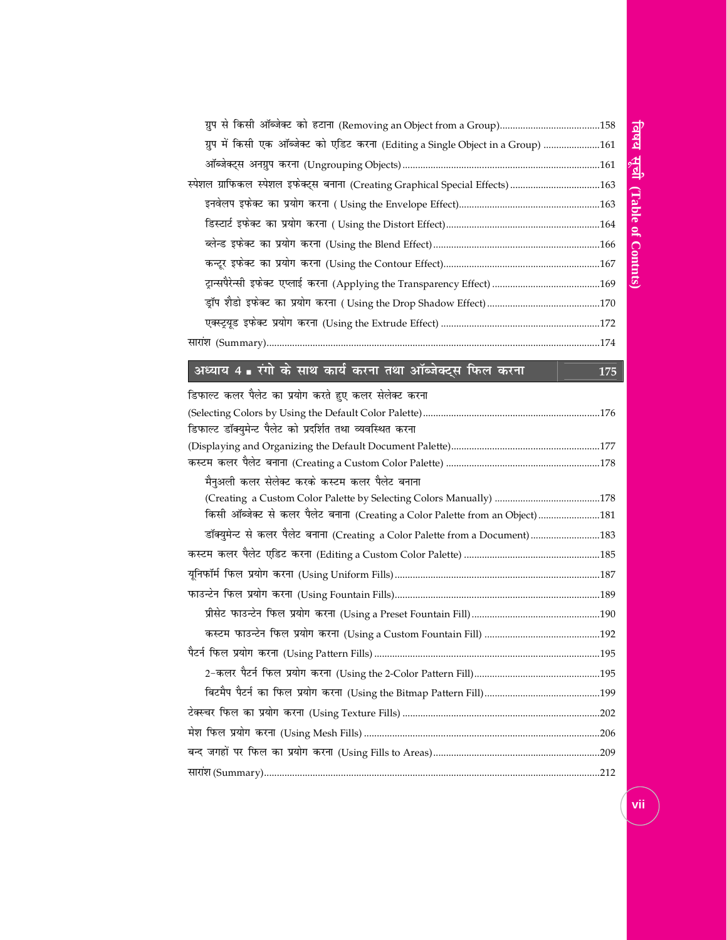| ग्रुप में किसी एक ऑब्जेक्ट को एडिट करना (Editing a Single Object in a Group) 161 |  |
|----------------------------------------------------------------------------------|--|
|                                                                                  |  |
| स्पेशल ग्राफिकल स्पेशल इफेक्ट्स बनाना (Creating Graphical Special Effects) 163   |  |
|                                                                                  |  |
|                                                                                  |  |
|                                                                                  |  |
|                                                                                  |  |
|                                                                                  |  |
|                                                                                  |  |
|                                                                                  |  |
|                                                                                  |  |
|                                                                                  |  |

### अध्याय 4 **=** रंगो के साथ कार्य करना तथा ऑब्जेक्ट्स फिल करना || 175

| डिफाल्ट कलर पैलेट का प्रयोग करते हुए कलर सेलेक्ट करना                         |  |
|-------------------------------------------------------------------------------|--|
|                                                                               |  |
| डिफाल्ट डॉक्युमेन्ट पैलेट को प्रदर्शित तथा व्यवस्थित करना                     |  |
|                                                                               |  |
|                                                                               |  |
| मैनुअली कलर सेलेक्ट करके कस्टम कलर पैलेट बनाना                                |  |
|                                                                               |  |
| किसी ऑब्जेक्ट से कलर पैलेट बनाना (Creating a Color Palette from an Object)181 |  |
|                                                                               |  |
|                                                                               |  |
|                                                                               |  |
|                                                                               |  |
|                                                                               |  |
|                                                                               |  |
|                                                                               |  |
|                                                                               |  |
|                                                                               |  |
|                                                                               |  |
|                                                                               |  |
|                                                                               |  |
|                                                                               |  |
|                                                                               |  |

vii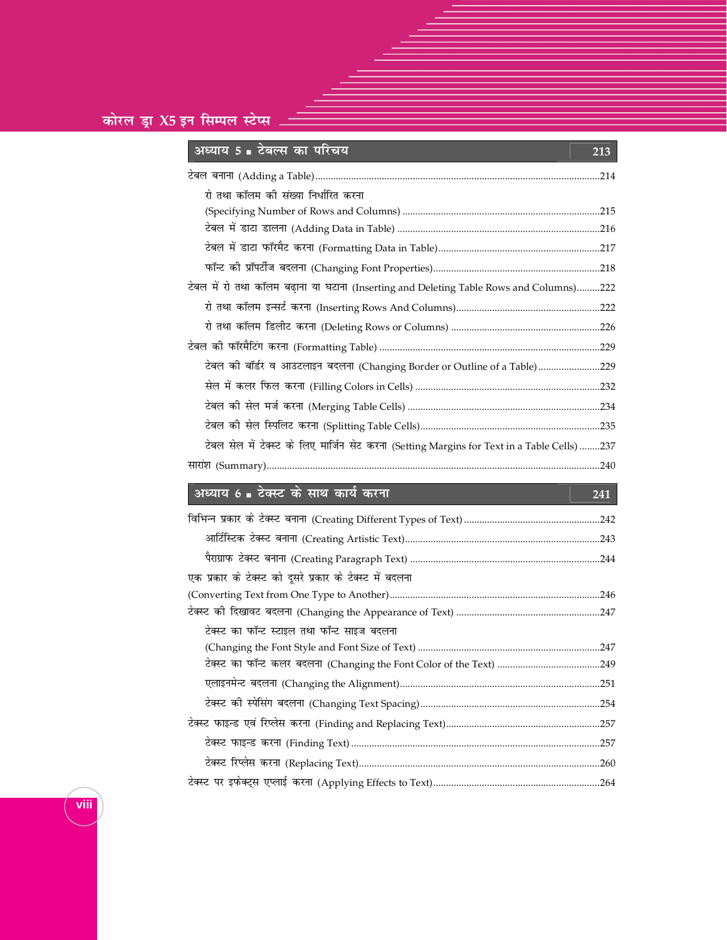| अध्याय 5 ∎ टबल्स का पारचय                                                                    | 213 |  |
|----------------------------------------------------------------------------------------------|-----|--|
|                                                                                              |     |  |
| रो तथा कॉलम की संख्या निर्धारित करना                                                         |     |  |
|                                                                                              |     |  |
|                                                                                              |     |  |
|                                                                                              |     |  |
|                                                                                              |     |  |
| टेबल में रो तथा कॉलम बढ़ाना या घटाना (Inserting and Deleting Table Rows and Columns)222      |     |  |
|                                                                                              |     |  |
|                                                                                              |     |  |
|                                                                                              |     |  |
| टेबल की बॉर्डर व आउटलाइन बदलना (Changing Border or Outline of a Table)229                    |     |  |
|                                                                                              |     |  |
|                                                                                              |     |  |
|                                                                                              |     |  |
| टेबल सेल में टेक्स्ट के लिए मार्जिन सेट करना (Setting Margins for Text in a Table Cells) 237 |     |  |
|                                                                                              | 240 |  |
|                                                                                              |     |  |

# अध्याय 6 ∎ टेक्स्ट के साथ कार्य करना

## 241

| .247 |
|------|
|      |
|      |
| .254 |
|      |
|      |
| .260 |
|      |
|      |

viii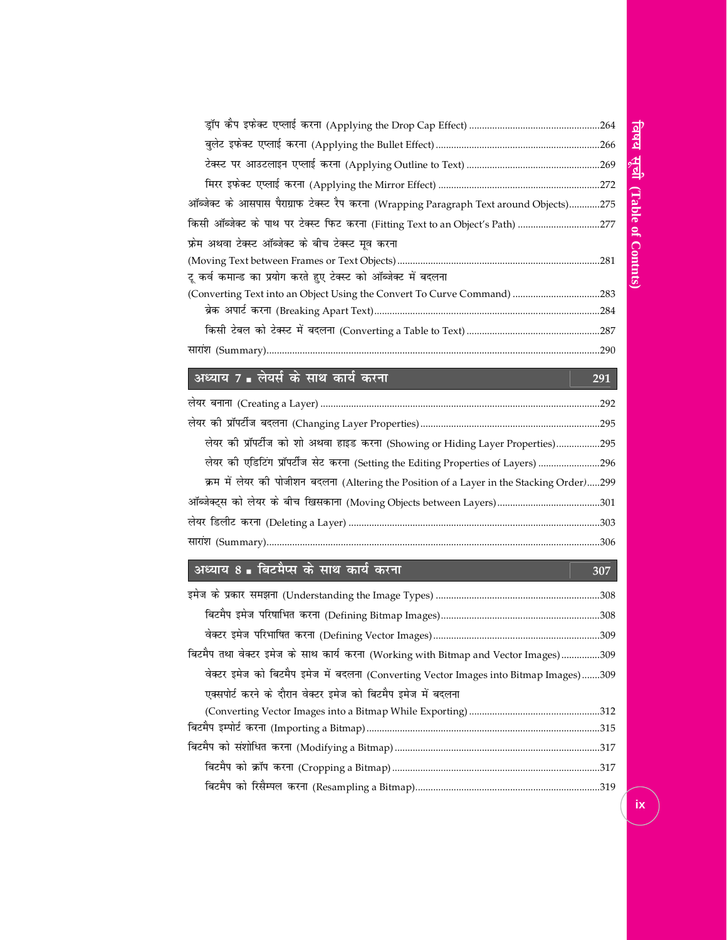| ऑब्जेक्ट के आसपास पैराग्राफ टेक्स्ट रैप करना (Wrapping Paragraph Text around Objects)275 |  |
|------------------------------------------------------------------------------------------|--|
| किसी ऑब्जेक्ट के पाथ पर टेक्स्ट फिट करना (Fitting Text to an Object's Path) 277          |  |
| फ्रेम अथवा टेक्स्ट ऑब्जेक्ट के बीच टेक्स्ट मूव करना                                      |  |
|                                                                                          |  |
| टू कर्व कमान्ड का प्रयोग करते हुए टेक्स्ट को ऑब्जेक्ट में बदलना                          |  |
| (Converting Text into an Object Using the Convert To Curve Command) 283                  |  |
|                                                                                          |  |
|                                                                                          |  |

291

307

### \_<br>अध्याय 7 ∎ लेयर्स के साथ कार्य करना

| लेयर की प्रॉपर्टीज को शो अथवा हाइड करना (Showing or Hiding Layer Properties)295           |  |
|-------------------------------------------------------------------------------------------|--|
| लेयर की एडिटिंग प्रॉपर्टीज सेट करना (Setting the Editing Properties of Layers) 296        |  |
| क्रम में लेयर की पोजीशन बदलना (Altering the Position of a Layer in the Stacking Order)299 |  |
|                                                                                           |  |
|                                                                                           |  |
|                                                                                           |  |

### अध्याय 8 ∎ बिटमैप्स के साथ कार्य करना

| बिटमैप तथा वेक्टर इमेज के साथ कार्य करना (Working with Bitmap and Vector Images)309   |  |
|---------------------------------------------------------------------------------------|--|
| वेक्टर इमेज को बिटमैप इमेज में बदलना (Converting Vector Images into Bitmap Images)309 |  |
| एक्सपोर्ट करने के दौरान वेक्टर इमेज को बिटमैप इमेज में बदलना                          |  |
|                                                                                       |  |
|                                                                                       |  |
|                                                                                       |  |
|                                                                                       |  |
|                                                                                       |  |